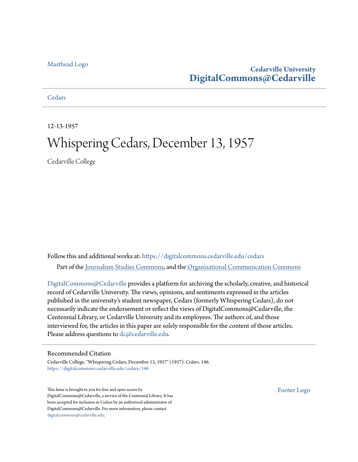#### [Masthead Logo](http://www.cedarville.edu/?utm_source=digitalcommons.cedarville.edu%2Fcedars%2F146&utm_medium=PDF&utm_campaign=PDFCoverPages)

## **Cedarville University [DigitalCommons@Cedarville](https://digitalcommons.cedarville.edu?utm_source=digitalcommons.cedarville.edu%2Fcedars%2F146&utm_medium=PDF&utm_campaign=PDFCoverPages)**

#### **[Cedars](https://digitalcommons.cedarville.edu/cedars?utm_source=digitalcommons.cedarville.edu%2Fcedars%2F146&utm_medium=PDF&utm_campaign=PDFCoverPages)**

12-13-1957

# Whispering Cedars, December 13, 1957

Cedarville College

Follow this and additional works at: [https://digitalcommons.cedarville.edu/cedars](https://digitalcommons.cedarville.edu/cedars?utm_source=digitalcommons.cedarville.edu%2Fcedars%2F146&utm_medium=PDF&utm_campaign=PDFCoverPages) Part of the [Journalism Studies Commons](http://network.bepress.com/hgg/discipline/333?utm_source=digitalcommons.cedarville.edu%2Fcedars%2F146&utm_medium=PDF&utm_campaign=PDFCoverPages), and the [Organizational Communication Commons](http://network.bepress.com/hgg/discipline/335?utm_source=digitalcommons.cedarville.edu%2Fcedars%2F146&utm_medium=PDF&utm_campaign=PDFCoverPages)

[DigitalCommons@Cedarville](http://digitalcommons.cedarville.edu/) provides a platform for archiving the scholarly, creative, and historical record of Cedarville University. The views, opinions, and sentiments expressed in the articles published in the university's student newspaper, Cedars (formerly Whispering Cedars), do not necessarily indicate the endorsement or reflect the views of DigitalCommons@Cedarville, the Centennial Library, or Cedarville University and its employees. The authors of, and those interviewed for, the articles in this paper are solely responsible for the content of those articles. Please address questions to [dc@cedarville.edu.](mailto:dc@cedarville.edu)

#### Recommended Citation

Cedarville College, "Whispering Cedars, December 13, 1957" (1957). *Cedars*. 146. [https://digitalcommons.cedarville.edu/cedars/146](https://digitalcommons.cedarville.edu/cedars/146?utm_source=digitalcommons.cedarville.edu%2Fcedars%2F146&utm_medium=PDF&utm_campaign=PDFCoverPages)

This Issue is brought to you for free and open access by DigitalCommons@Cedarville, a service of the Centennial Library. It has been accepted for inclusion in Cedars by an authorized administrator of DigitalCommons@Cedarville. For more information, please contact [digitalcommons@cedarville.edu](mailto:digitalcommons@cedarville.edu).

[Footer Logo](http://www.cedarville.edu/Academics/Library.aspx?utm_source=digitalcommons.cedarville.edu%2Fcedars%2F146&utm_medium=PDF&utm_campaign=PDFCoverPages)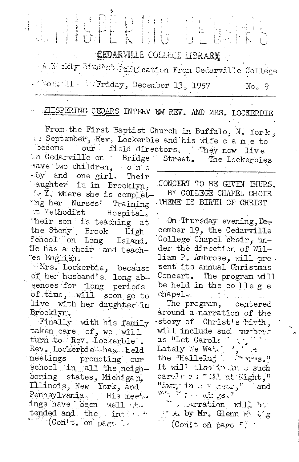# 

CEDARVILLE COLLEGE LIBRARY

A Weskly Student furioution From Cedarwille College . Norg II. Friday, December 13, 1957 No, 9

### EHISPERING CEDARS INTERVIEW REV. AND MRS. LOCKERBIE

From the First Baptist Church in Buffalo, N. York, In September, Rev. Lockerbie and his wife c a m e to become our field directors, They now live an Cedarville on Bridge Street. The Lockerbies mave two children, one

 $\cdot$  oy and one girl. Their aughter is in Brooklyn, ". Y. where she is completing her Nurses! Training it Methodist Hospital. Their son is teaching at the Stony Brook High School on Long Island. He has a choir and teaches English.

Mrs. Lockerbie, because<br>of her husband's long absences for long periods of time, will soon go to live with her daughter in Brooklyn.

Finally with his family taken care of, we will turn to Rev. Lockerbie. Rev. Lockerbie has held meetings promoting our school in all the neighboring states, Michigan. Illinois, New York, and Pennsylvania. His mee... ings have been well ttended and the in- $\cdot$  (Con't. on page ).

CONCERT TO BE GIVEN THURS. BY COLLEGE CHAPEL CHOIR THEME IS BIRTH OF CHRIST

On Thursday evening, December 19, the Cedarville College Chapel choir, under the direction of William P. Ambrose, will present its annual Christmas Concert. The program will be held in the college chapel<sub>20</sub>

The program, centered around a narration of the story of Christ's hirth, will include suc' vurbout as "Let Carols" Lately We Watk the "Hallelu; Arris." It will then in her such carely 24" 111 at Eight," "Away in  $\alpha \le \arg\!\varpi_j^{-n}$  and  $\mathbb{R}^n$  ,  $\mathbb{R}^n$  ,  $\mathbb{R}^n$  ,  $\mathbb{R}^n$  ,  $\mathbb{R}^n$ 

" . . drration will be that by Mr. Glenn with  $\mathcal{F}_{\mathcal{A}}$ (Conit on page  $F$ ).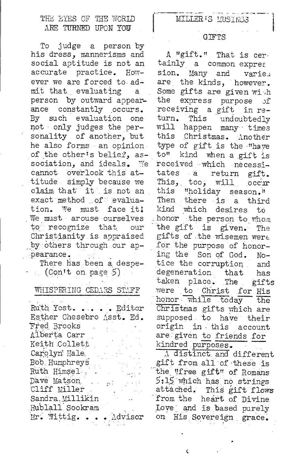#### THE EYES OF THE WORLD ARE TURNED UPON YOU

To judge a person by his dress, mannerisms and social aptitude is not an accurate practice. However we are forced to admit that evaluating a. person by outward appearance constantly occurs. By such evaluation one not only judges the personality of another, but he also forms an opinion of the other's belief, association, and ideals. We cannot overlook this attitude simply because we claim that it is not an exact method of evaluation. We must face it! We must arouse ourselves to recognize that our Christianity is appraised by others through our appearance.

There has been a despe- $(Con<sup>t</sup> on page 5)$ 

#### WHISPERING CEDARS STAFF

Ruth Yost. . . . . Editor Esther Chesebro Asst. Ed. Fred Brooks Alberta Carr Keith Collett Carolyn Hale Bob Humphreys Ruth Himsel.. Dave Matson  $\sim$  7 Cliff Miller Sandra Millikin Hublall Sookram Mr. Wittig. . . . Advisor

#### **GIFTS**

A "gift." That is certainly a common expres sion. Many and varieu are the kinds, however. Some gifts are given with express purpose the ುf receiving a gift in return. This undoubtedly will happen many times this Christmas. Another type of gift is the "have to" kind when a gift is received which necessitates a return gift. This, too, will occur this "holiday season." Then there is a third kind which desires to honor the person to whom the gift is given. The gifts of the wisemen were for the purpose of honoring the Son of God.  $No$ tice the corruption and degeneration that has taken place. The gifts were to Christ for His honor while today the Christmas gifts which are supposed to have their origin in this account are given to friends for kindred purposes.

A distinct and different gift from all of these is the "free gift" of Romans 5:15 which has no strings attached. This gift flows from the heart of Divine Love and is based purely on His Sovereign grace.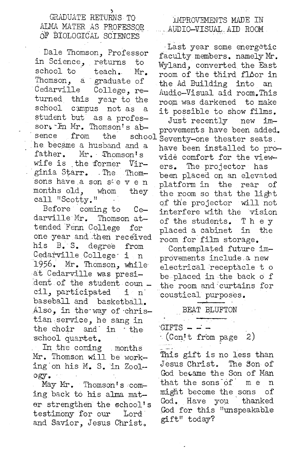in Science, returns to Wyland, converted the East Thomson, a graduate of the Ad Building into an<br>Cedarville College, re- Andio-Visual aid room. This turned this year to the room was darkened to make student but as a profes-<br>Just recently new imsor: In Mr. Thomson's absence from the school Seventy-one theater seats.<br>he became a husband and a have been installed to prowife is the former Virwhile is the former vir- ers. The projector has<br>ginia Starr. The Thom- born placed on an olograf ginia Starr. The Thom- been placed on an elevated<br>sons have a son s'e v e n platform in the rear of sons have a son see v e n platform in the rear of<br>months old, whom they the room so that the light

darville Mr. Thomson at<br>tended Fenn College for one year and then received room for film storage.<br>his B.S. degree from Contemplated future his B. S. degree from Contemplated future im-<br>Cedarville College is nearements include a new Cedarville College· i n provements include. a new 1956. Mr. Thomson, while· electrical receptacle to dent of the student coun cil, participated i n coustical purposes. baseball and basketball. Also, in the way of christian service, he sang in the choir and· in · the school quartet.

In the coming . months Mr. Thomson will be working.on his M. S. in Zoology.

May Mr. Thomson's coming back to his alma mater strengthen the school's testimony for our Lord and Savior, Jesus Christ.

#### LMPROVEMENTS MADE IN  $\therefore$  AUDIO-VISUAL AID ROOM.

Last year some energetic Dale Thomson, Professor faculty members. namely Mr.<br>in Science, returns to Warland converted the East school to  $i$  teach. Mr. room of the third floor in Cedarville College, re- Audio-Visual aid room. This<br>turned this year to the room was darkened to make it possible to show films.

 $b^3$  ab-<br>school seventy-one thester seats ne became a husband and a have been installed to pro-<br>father. Mr. Thomson's suide comfont for the view vide comfort for the viewmonths old, whom they the room so that the light<br>call "Scotty." of the projector will not LI SCOTTy. "<br>Before coming to Ce interfere with the vision ng to Ce- interfere with the vision<br>Thomson at- of the students The F of the students. T h e y placed a cabinet  $\;$  in the

be placed in the back  $\circ$  f the room and curtains for

BEAT BLUFTON

 $GIFTS - - -$ 

· (Con\_t t from page 2)

This gift is no less than Jesus Christ. The Son of God became the Son of Man that the sons.of· me n might become the sons of God. Have you thanked God for this "unspeakable gift" today?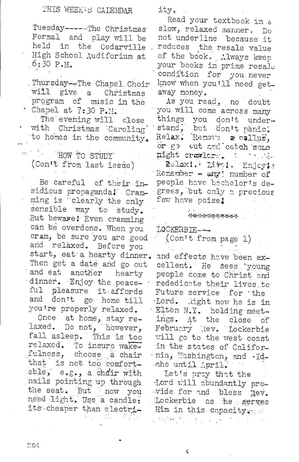Tuesday ------ The Christmas Formal and play will be held in the Cedarville High School Audiforium at  $6:30 P.M.$ 

Thursday--The Chapel Choir will give a Christmas program of music in the Chapel at 7:30 P.M.

The evening will close with Christmas Caroling to homes in the community.

THE HOW TO STUDY (Con't from last issue)

Be careful of their insidious propaganda! Cramming is clearly the only sensible way to study. But beware! Even cramming can be overdone. When you cram, be sure you are good and relaxed. Before you start, eat a hearty dinner. Then get a date and go out and eat another hearty dinner. Enjoy the peaceful pleasure it affords and don't go home till you're properly relaxed.

Once at home, stay relaxed. Do not, however,<br>fall asleep. This is too relaxed. To insure wakefulness, choose a chair that is not too comfortable, e.g., a chair with nails pointing up through the seat. But now you need light. Use a candle: its cheaper than electriity.

Read your textbook in a slow, relaxed manner. Do not underline because it reduces the resale value of the book. Always keep your books in prime resale condition for you never know when you'll need getaway money.

As you read, no doubt you will come across many things you don't under-<br>stand, but don't panic.<br>Relax: Remove reallus,<br>or go cut and catch some you don't undernight crawlers.

Relaxi. Mvol. Enjoyla Remember - any number of people have bachelor's degrees, but only a precious few have poise!

#### \*\*\*\*\*\*\*\*\*\*\*

LOCKERBIE---

(Con't from page 1)

and effects have been excellent. He sees young people come to Christ and rededicate their lives to Future service for the Lord. Right now he is in Elton N.Y. holding meetings. At the close of February Rev. Lockerbie will go to the west-coast in the states of Califormia, Washington, and .Idaho until April.

Let's pray that the Lord will abundantly pro--vide for and bless hev. Lockerbie as he serves Him in this capacity ...  $\Omega_{\rm eff} \sim 10^{10}$ 

 $\lambda_{\rm{max}}$  and  $\lambda_{\rm{max}}$ 

¢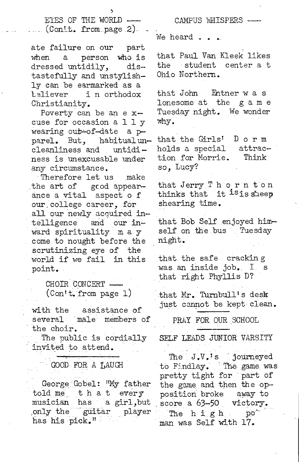EYES OF THE WORLD  $(Con<sup>1</sup> t. from page 2).$ 

ate failure on our part when a person who is dressed untidily, distastefully and unstylishly can be earmarked as a in orthodox Christianity.

Poverty can be an e xcuse for occasion a 11 y wearing out~of-date a pparel. But, habitualun-<br>cleanliness and untidicleanliness and ness is unexcusable under any circumstance.

Therefore let us make the art of gcod appearance a vital aspect of our,college career, for all our newly acquired intelligence and our inward spirituality m a y come to nought before the scrutinizing eye of the world if we fail in this point.

> CHOIR CONCERT - $(Con't, from page 1)$

with the assistance of several male members of the choir.

The public is cordially invited to attend.

#### GOOD FOR A LAUGH

George Gobel: "My father told me that every musician has a girl,but only the guitar player<br>has his pick."

CAMPUS WHISPERS We heard . .

that Paul Van Kleek likes the student center a t Ohio Northern.

that John Entner was lonesome at the game Tuesday night. We wonder why.

that the Girls' holds a special attraction for Morrie. so, Lucy? Dorm Think

that Jerry Thorn ton thinks that it <sup>is</sup>is sheep shearing time.

that Bob Self enjoyed himself on the bus Tuesday night.

that the safe cracking was an inside job. I <sup>s</sup> that right Phyllis D?

that Mr. Turnbull's desk just cannot be kept clean.

PRAY FOR OUR SCHOOL

SELF LEADS JUNIOR VARSITY

The J.V.<sup>1</sup>s journeyed to Findlay. The game was pretty tight for part of the game and then the opposition broke away to score a 63-50 victory. The h i g h po<sup>-</sup> man was Self with 17.